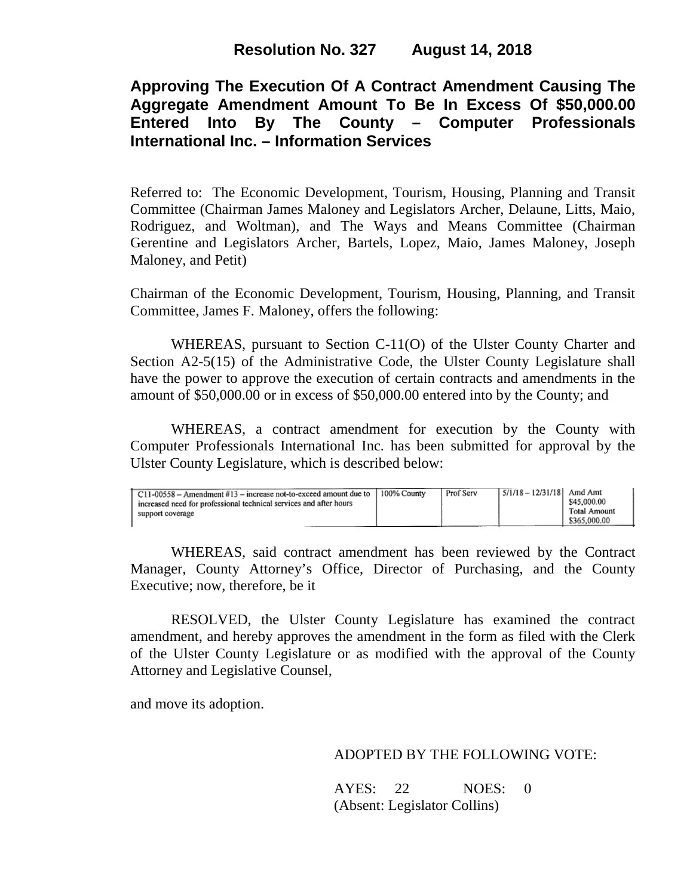# **Approving The Execution Of A Contract Amendment Causing The Aggregate Amendment Amount To Be In Excess Of \$50,000.00 Entered Into By The County – Computer Professionals International Inc. – Information Services**

Referred to: The Economic Development, Tourism, Housing, Planning and Transit Committee (Chairman James Maloney and Legislators Archer, Delaune, Litts, Maio, Rodriguez, and Woltman), and The Ways and Means Committee (Chairman Gerentine and Legislators Archer, Bartels, Lopez, Maio, James Maloney, Joseph Maloney, and Petit)

Chairman of the Economic Development, Tourism, Housing, Planning, and Transit Committee, James F. Maloney, offers the following:

WHEREAS, pursuant to Section C-11(O) of the Ulster County Charter and Section A2-5(15) of the Administrative Code, the Ulster County Legislature shall have the power to approve the execution of certain contracts and amendments in the amount of \$50,000.00 or in excess of \$50,000.00 entered into by the County; and

WHEREAS, a contract amendment for execution by the County with Computer Professionals International Inc. has been submitted for approval by the Ulster County Legislature, which is described below:

| Prof Serv<br>$\vert$ C11-00558 – Amendment #13 – increase not-to-exceed amount due to $\vert$ 100% County<br>\$45,000.00<br>increased need for professional technical services and after hours<br><b>Total Amount</b><br>support coverage<br>\$365,000.00 |
|-----------------------------------------------------------------------------------------------------------------------------------------------------------------------------------------------------------------------------------------------------------|
|-----------------------------------------------------------------------------------------------------------------------------------------------------------------------------------------------------------------------------------------------------------|

WHEREAS, said contract amendment has been reviewed by the Contract Manager, County Attorney's Office, Director of Purchasing, and the County Executive; now, therefore, be it

RESOLVED, the Ulster County Legislature has examined the contract amendment, and hereby approves the amendment in the form as filed with the Clerk of the Ulster County Legislature or as modified with the approval of the County Attorney and Legislative Counsel,

and move its adoption.

## ADOPTED BY THE FOLLOWING VOTE:

AYES: 22 NOES: 0 (Absent: Legislator Collins)